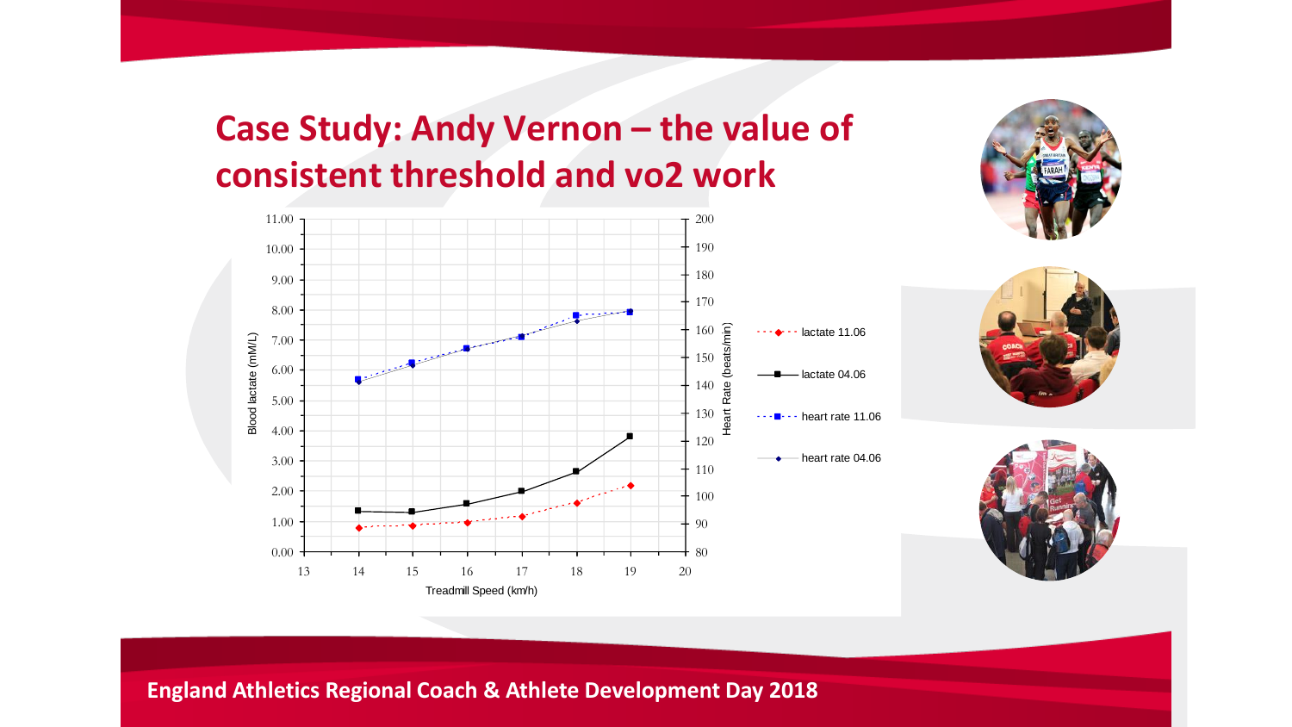## **Case Study: Andy Vernon – the value of consistent threshold and vo2 work**







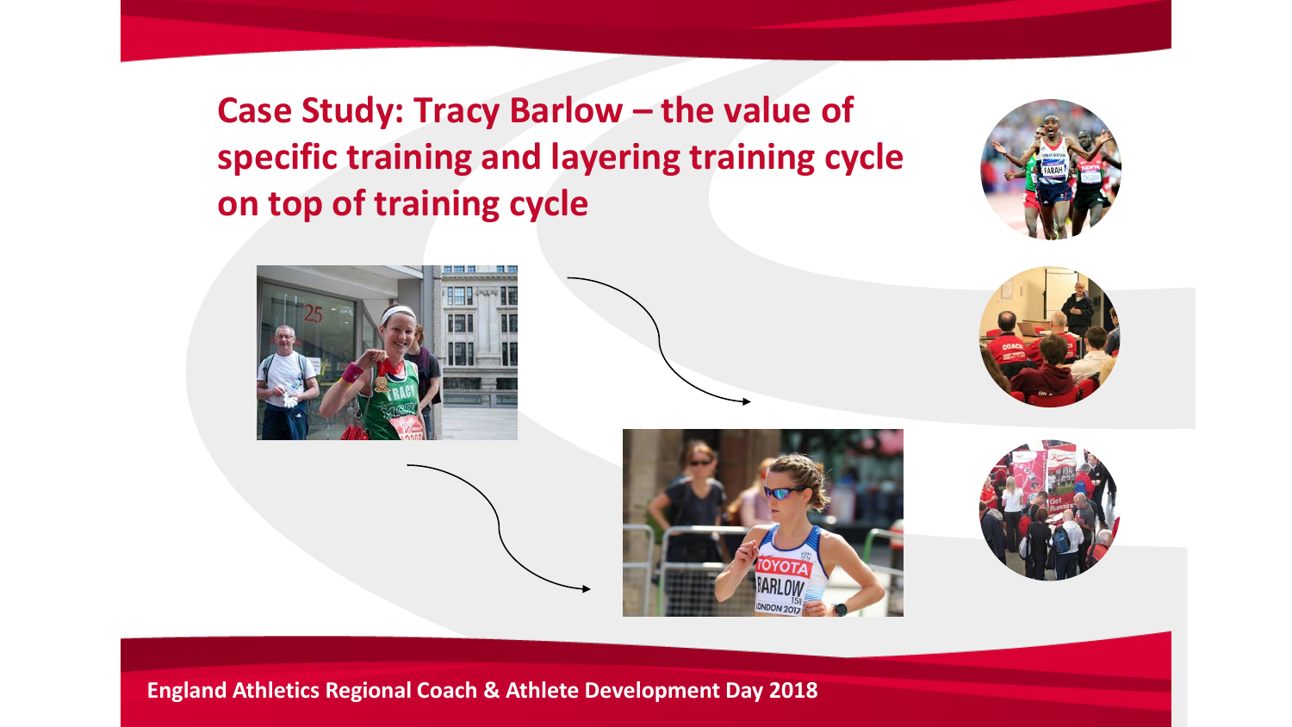**Case Study: Tracy Barlow – the value of specific training and layering training cycle on top of training cycle**



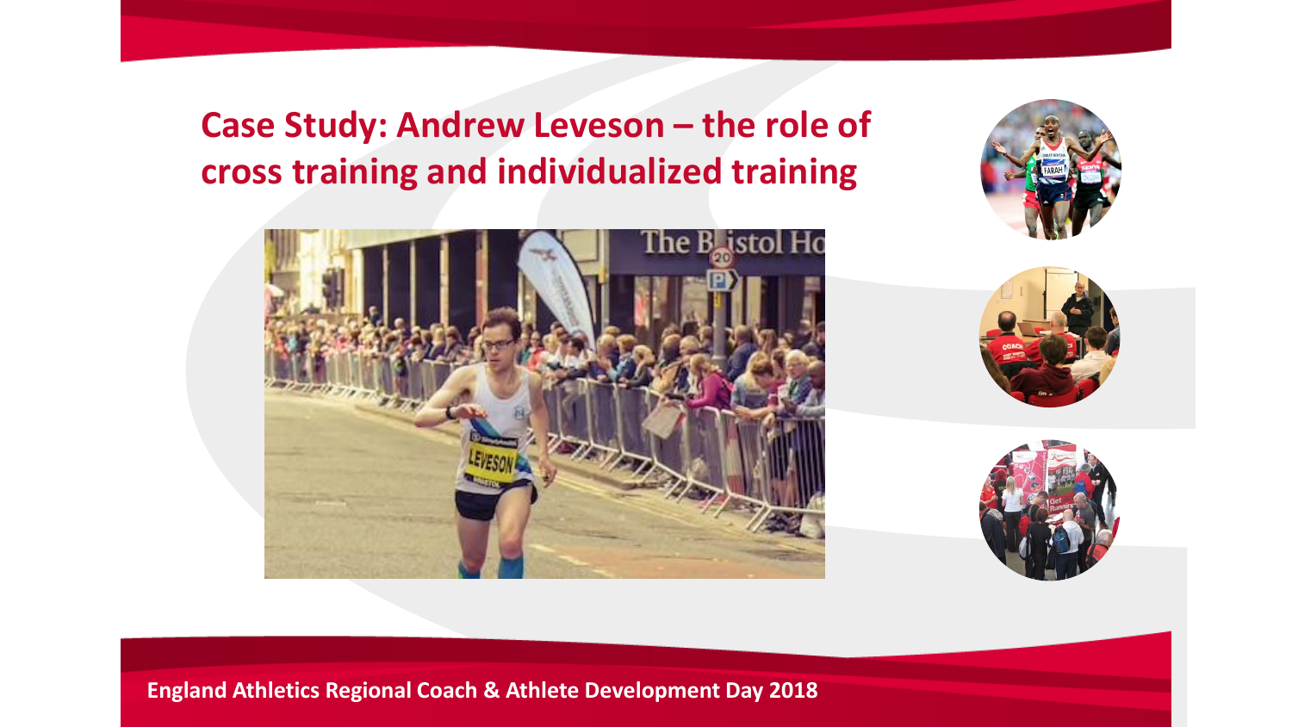## **Case Study: Andrew Leveson – the role of cross training and individualized training**